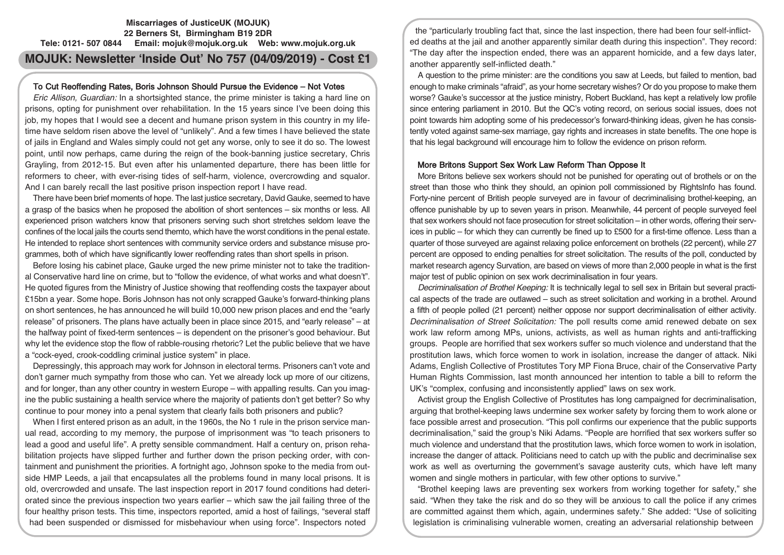# **Miscarriages of JusticeUK (MOJUK) 22 Berners St, Birmingham B19 2DR Tele: 0121- 507 0844 Email: mojuk@mojuk.org.uk Web: www.mojuk.org.uk**

# **MOJUK: Newsletter 'Inside Out' No 757 (04/09/2019) - Cost £1**

# To Cut Reoffending Rates, Boris Johnson Should Pursue the Evidence – Not Votes

Eric Allison, Guardian: In a shortsighted stance, the prime minister is taking a hard line on prisons, opting for punishment over rehabilitation. In the 15 years since I've been doing this job, my hopes that I would see a decent and humane prison system in this country in my lifetime have seldom risen above the level of "unlikely". And a few times I have believed the state of jails in England and Wales simply could not get any worse, only to see it do so. The lowest point, until now perhaps, came during the reign of the book-banning justice secretary, Chris Grayling, from 2012-15. But even after his unlamented departure, there has been little for reformers to cheer, with ever-rising tides of self-harm, violence, overcrowding and squalor. And I can barely recall the last positive prison inspection report I have read.

There have been brief moments of hope. The last justice secretary, David Gauke, seemed to have a grasp of the basics when he proposed the abolition of short sentences – six months or less. All experienced prison watchers know that prisoners serving such short stretches seldom leave the confines of the local jails the courts send themto, which have the worst conditions in the penal estate. He intended to replace short sentences with community service orders and substance misuse programmes, both of which have significantly lower reoffending rates than short spells in prison.

Before losing his cabinet place, Gauke urged the new prime minister not to take the traditional Conservative hard line on crime, but to "follow the evidence, of what works and what doesn't". He quoted figures from the Ministry of Justice showing that reoffending costs the taxpayer about £15bn a year. Some hope. Boris Johnson has not only scrapped Gauke's forward-thinking plans on short sentences, he has announced he will build 10,000 new prison places and end the "early release" of prisoners. The plans have actually been in place since 2015, and "early release" – at the halfway point of fixed-term sentences – is dependent on the prisoner's good behaviour. But why let the evidence stop the flow of rabble-rousing rhetoric? Let the public believe that we have a "cock-eyed, crook-coddling criminal justice system" in place.

Depressingly, this approach may work for Johnson in electoral terms. Prisoners can't vote and don't garner much sympathy from those who can. Yet we already lock up more of our citizens, and for longer, than any other country in western Europe – with appalling results. Can you imagine the public sustaining a health service where the majority of patients don't get better? So why continue to pour money into a penal system that clearly fails both prisoners and public?

When I first entered prison as an adult, in the 1960s, the No 1 rule in the prison service manual read, according to my memory, the purpose of imprisonment was "to teach prisoners to lead a good and useful life". A pretty sensible commandment. Half a century on, prison rehabilitation projects have slipped further and further down the prison pecking order, with containment and punishment the priorities. A fortnight ago, Johnson spoke to the media from outside HMP Leeds, a jail that encapsulates all the problems found in many local prisons. It is old, overcrowded and unsafe. The last inspection report in 2017 found conditions had deteriorated since the previous inspection two years earlier – which saw the jail failing three of the four healthy prison tests. This time, inspectors reported, amid a host of failings, "several staff had been suspended or dismissed for misbehaviour when using force". Inspectors noted

the "particularly troubling fact that, since the last inspection, there had been four self-inflicted deaths at the jail and another apparently similar death during this inspection". They record: "The day after the inspection ended, there was an apparent homicide, and a few days later, another apparently self-inflicted death."

A question to the prime minister: are the conditions you saw at Leeds, but failed to mention, bad enough to make criminals "afraid", as your home secretary wishes? Or do you propose to make them worse? Gauke's successor at the justice ministry, Robert Buckland, has kept a relatively low profile since entering parliament in 2010. But the QC's voting record, on serious social issues, does not point towards him adopting some of his predecessor's forward-thinking ideas, given he has consistently voted against same-sex marriage, gay rights and increases in state benefits. The one hope is that his legal background will encourage him to follow the evidence on prison reform.

# More Britons Support Sex Work Law Reform Than Oppose It

More Britons believe sex workers should not be punished for operating out of brothels or on the street than those who think they should, an opinion poll commissioned by RightsInfo has found. Forty-nine percent of British people surveyed are in favour of decriminalising brothel-keeping, an offence punishable by up to seven years in prison. Meanwhile, 44 percent of people surveyed feel that sex workers should not face prosecution for street solicitation – in other words, offering their services in public – for which they can currently be fined up to £500 for a first-time offence. Less than a quarter of those surveyed are against relaxing police enforcement on brothels (22 percent), while 27 percent are opposed to ending penalties for street solicitation. The results of the poll, conducted by market research agency Survation, are based on views of more than 2,000 people in what is the first major test of public opinion on sex work decriminalisation in four years.

Decriminalisation of Brothel Keeping: It is technically legal to sell sex in Britain but several practical aspects of the trade are outlawed – such as street solicitation and working in a brothel. Around a fifth of people polled (21 percent) neither oppose nor support decriminalisation of either activity. Decriminalisation of Street Solicitation: The poll results come amid renewed debate on sex work law reform among MPs, unions, activists, as well as human rights and anti-trafficking groups. People are horrified that sex workers suffer so much violence and understand that the prostitution laws, which force women to work in isolation, increase the danger of attack. Niki Adams, English Collective of Prostitutes Tory MP Fiona Bruce, chair of the Conservative Party Human Rights Commission, last month announced her intention to table a bill to reform the UK's "complex, confusing and inconsistently applied" laws on sex work.

Activist group the English Collective of Prostitutes has long campaigned for decriminalisation, arguing that brothel-keeping laws undermine sex worker safety by forcing them to work alone or face possible arrest and prosecution. "This poll confirms our experience that the public supports decriminalisation," said the group's Niki Adams. "People are horrified that sex workers suffer so much violence and understand that the prostitution laws, which force women to work in isolation, increase the danger of attack. Politicians need to catch up with the public and decriminalise sex work as well as overturning the government's savage austerity cuts, which have left many women and single mothers in particular, with few other options to survive."

"Brothel keeping laws are preventing sex workers from working together for safety," she said. "When they take the risk and do so they will be anxious to call the police if any crimes are committed against them which, again, undermines safety." She added: "Use of soliciting legislation is criminalising vulnerable women, creating an adversarial relationship between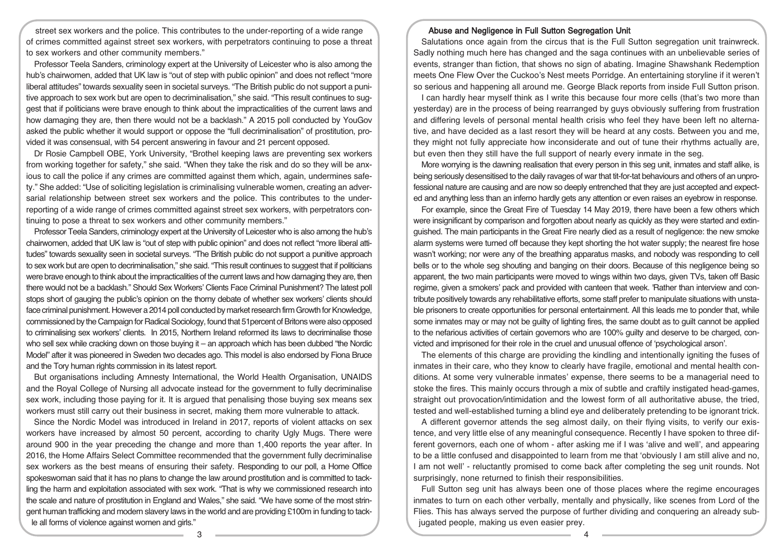street sex workers and the police. This contributes to the under-reporting of a wide range of crimes committed against street sex workers, with perpetrators continuing to pose a threat to sex workers and other community members."

Professor Teela Sanders, criminology expert at the University of Leicester who is also among the hub's chairwomen, added that UK law is "out of step with public opinion" and does not reflect "more liberal attitudes" towards sexuality seen in societal surveys. "The British public do not support a punitive approach to sex work but are open to decriminalisation," she said. "This result continues to suggest that if politicians were brave enough to think about the impracticalities of the current laws and how damaging they are, then there would not be a backlash." A 2015 poll conducted by YouGov asked the public whether it would support or oppose the "full decriminalisation" of prostitution, provided it was consensual, with 54 percent answering in favour and 21 percent opposed.

Dr Rosie Campbell OBE, York University, "Brothel keeping laws are preventing sex workers from working together for safety," she said. "When they take the risk and do so they will be anxious to call the police if any crimes are committed against them which, again, undermines safety." She added: "Use of soliciting legislation is criminalising vulnerable women, creating an adversarial relationship between street sex workers and the police. This contributes to the underreporting of a wide range of crimes committed against street sex workers, with perpetrators continuing to pose a threat to sex workers and other community members."

Professor Teela Sanders, criminology expert at the University of Leicester who is also among the hub's chairwomen, added that UK law is "out of step with public opinion" and does not reflect "more liberal attitudes" towards sexuality seen in societal surveys. "The British public do not support a punitive approach to sex work but are open to decriminalisation," she said. "This result continues to suggest that if politicians were brave enough to think about the impracticalities of the current laws and how damaging they are, then there would not be a backlash." Should Sex Workers' Clients Face Criminal Punishment? The latest poll stops short of gauging the public's opinion on the thorny debate of whether sex workers' clients should face criminal punishment. However a 2014 poll conducted by market research firm Growth for Knowledge, commissioned by the Campaign for Radical Sociology, found that 51 percent of Britons were also opposed to criminalising sex workers' clients. In 2015, Northern Ireland reformed its laws to decriminalise those who sell sex while cracking down on those buying it – an approach which has been dubbed "the Nordic Model" after it was pioneered in Sweden two decades ago. This model is also endorsed by Fiona Bruce and the Tory human rights commission in its latest report.

But organisations including Amnesty International, the World Health Organisation, UNAIDS and the Royal College of Nursing all advocate instead for the government to fully decriminalise sex work, including those paying for it. It is argued that penalising those buying sex means sex workers must still carry out their business in secret, making them more vulnerable to attack.

Since the Nordic Model was introduced in Ireland in 2017, reports of violent attacks on sex workers have increased by almost 50 percent, according to charity Ugly Mugs. There were around 900 in the year preceding the change and more than 1,400 reports the year after. In 2016, the Home Affairs Select Committee recommended that the government fully decriminalise sex workers as the best means of ensuring their safety. Responding to our poll, a Home Office spokeswoman said that it has no plans to change the law around prostitution and is committed to tackling the harm and exploitation associated with sex work. "That is why we commissioned research into the scale and nature of prostitution in England and Wales," she said. "We have some of the most stringent human trafficking and modern slavery laws in the world and are providing £100m in funding to tackle all forms of violence against women and girls."

## Abuse and Negligence in Full Sutton Segregation Unit

Salutations once again from the circus that is the Full Sutton segregation unit trainwreck. Sadly nothing much here has changed and the saga continues with an unbelievable series of events, stranger than fiction, that shows no sign of abating. Imagine Shawshank Redemption meets One Flew Over the Cuckoo's Nest meets Porridge. An entertaining storyline if it weren't so serious and happening all around me. George Black reports from inside Full Sutton prison.

I can hardly hear myself think as I write this because four more cells (that's two more than yesterday) are in the process of being rearranged by guys obviously suffering from frustration and differing levels of personal mental health crisis who feel they have been left no alternative, and have decided as a last resort they will be heard at any costs. Between you and me, they might not fully appreciate how inconsiderate and out of tune their rhythms actually are, but even then they still have the full support of nearly every inmate in the seg.

More worrying is the dawning realisation that every person in this seg unit, inmates and staff alike, is being seriously desensitised to the daily ravages of war that tit-for-tat behaviours and others of an unprofessional nature are causing and are now so deeply entrenched that they are just accepted and expected and anything less than an inferno hardly gets any attention or even raises an eyebrow in response.

For example, since the Great Fire of Tuesday 14 May 2019, there have been a few others which were insignificant by comparison and forgotten about nearly as quickly as they were started and extinguished. The main participants in the Great Fire nearly died as a result of negligence: the new smoke alarm systems were turned off because they kept shorting the hot water supply; the nearest fire hose wasn't working; nor were any of the breathing apparatus masks, and nobody was responding to cell bells or to the whole seg shouting and banging on their doors. Because of this negligence being so apparent, the two main participants were moved to wings within two days, given TVs, taken off Basic regime, given a smokers' pack and provided with canteen that week. 'Rather than interview and contribute positively towards any rehabilitative efforts, some staff prefer to manipulate situations with unstable prisoners to create opportunities for personal entertainment. All this leads me to ponder that, while some inmates may or may not be guilty of lighting fires, the same doubt as to guilt cannot be applied to the nefarious activities of certain governors who are 100% guilty and deserve to be charged, convicted and imprisoned for their role in the cruel and unusual offence of 'psychological arson'.

The elements of this charge are providing the kindling and intentionally igniting the fuses of inmates in their care, who they know to clearly have fragile, emotional and mental health conditions. At some very vulnerable inmates' expense, there seems to be a managerial need to stoke the fires. This mainly occurs through a mix of subtle and craftily instigated head-games, straight out provocation/intimidation and the lowest form of all authoritative abuse, the tried, tested and well-established turning a blind eye and deliberately pretending to be ignorant trick.

A different governor attends the seg almost daily, on their flying visits, to verify our existence, and very little else of any meaningful consequence. Recently I have spoken to three different governors, each one of whom - after asking me if I was 'alive and well', and appearing to be a little confused and disappointed to learn from me that 'obviously I am still alive and no, I am not well' - reluctantly promised to come back after completing the seg unit rounds. Not surprisingly, none returned to finish their responsibilities.

Full Sutton seg unit has always been one of those places where the regime encourages inmates to turn on each other verbally, mentally and physically, like scenes from Lord of the Flies. This has always served the purpose of further dividing and conquering an already subjugated people, making us even easier prey.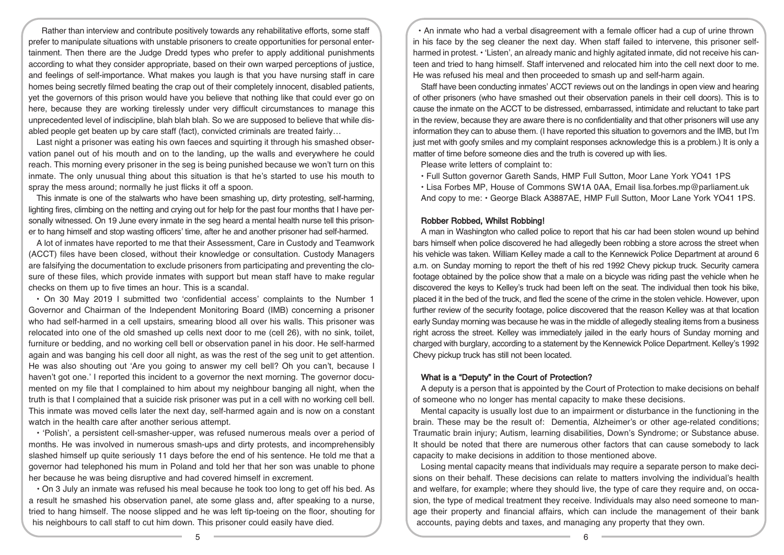Rather than interview and contribute positively towards any rehabilitative efforts, some staff prefer to manipulate situations with unstable prisoners to create opportunities for personal entertainment. Then there are the Judge Dredd types who prefer to apply additional punishments according to what they consider appropriate, based on their own warped perceptions of justice, and feelings of self-importance. What makes you laugh is that you have nursing staff in care homes being secretly filmed beating the crap out of their completely innocent, disabled patients, yet the governors of this prison would have you believe that nothing like that could ever go on here, because they are working tirelessly under very difficult circumstances to manage this unprecedented level of indiscipline, blah blah blah. So we are supposed to believe that while disabled people get beaten up by care staff (fact), convicted criminals are treated fairly…

Last night a prisoner was eating his own faeces and squirting it through his smashed observation panel out of his mouth and on to the landing, up the walls and everywhere he could reach. This morning every prisoner in the seg is being punished because we won't turn on this inmate. The only unusual thing about this situation is that he's started to use his mouth to spray the mess around; normally he just flicks it off a spoon.

This inmate is one of the stalwarts who have been smashing up, dirty protesting, self-harming, lighting fires, climbing on the netting and crying out for help for the past four months that I have personally witnessed. On 19 June every inmate in the seg heard a mental health nurse tell this prisoner to hang himself and stop wasting officers' time, after he and another prisoner had self-harmed.

A lot of inmates have reported to me that their Assessment, Care in Custody and Teamwork (ACCT) files have been closed, without their knowledge or consultation. Custody Managers are falsifying the documentation to exclude prisoners from participating and preventing the closure of these files, which provide inmates with support but mean staff have to make regular checks on them up to five times an hour. This is a scandal.

• On 30 May 2019 I submitted two 'confidential access' complaints to the Number 1 Governor and Chairman of the Independent Monitoring Board (IMB) concerning a prisoner who had self-harmed in a cell upstairs, smearing blood all over his walls. This prisoner was relocated into one of the old smashed up cells next door to me (cell 26), with no sink, toilet, furniture or bedding, and no working cell bell or observation panel in his door. He self-harmed again and was banging his cell door all night, as was the rest of the seg unit to get attention. He was also shouting out 'Are you going to answer my cell bell? Oh you can't, because I haven't got one.' I reported this incident to a governor the next morning. The governor documented on my file that I complained to him about my neighbour banging all night, when the truth is that I complained that a suicide risk prisoner was put in a cell with no working cell bell. This inmate was moved cells later the next day, self-harmed again and is now on a constant watch in the health care after another serious attempt.

• 'Polish', a persistent cell-smasher-upper, was refused numerous meals over a period of months. He was involved in numerous smash-ups and dirty protests, and incomprehensibly slashed himself up quite seriously 11 days before the end of his sentence. He told me that a governor had telephoned his mum in Poland and told her that her son was unable to phone her because he was being disruptive and had covered himself in excrement.

• On 3 July an inmate was refused his meal because he took too long to get off his bed. As a result he smashed his observation panel, ate some glass and, after speaking to a nurse, tried to hang himself. The noose slipped and he was left tip-toeing on the floor, shouting for his neighbours to call staff to cut him down. This prisoner could easily have died.

• An inmate who had a verbal disagreement with a female officer had a cup of urine thrown in his face by the seg cleaner the next day. When staff failed to intervene, this prisoner selfharmed in protest. • 'Listen', an already manic and highly agitated inmate, did not receive his canteen and tried to hang himself. Staff intervened and relocated him into the cell next door to me. He was refused his meal and then proceeded to smash up and self-harm again.

Staff have been conducting inmates' ACCT reviews out on the landings in open view and hearing of other prisoners (who have smashed out their observation panels in their cell doors). This is to cause the inmate on the ACCT to be distressed, embarrassed, intimidate and reluctant to take part in the review, because they are aware there is no confidentiality and that other prisoners will use any information they can to abuse them. (I have reported this situation to governors and the IMB, but I'm just met with goofy smiles and my complaint responses acknowledge this is a problem.) It is only a matter of time before someone dies and the truth is covered up with lies.

Please write letters of complaint to:

• Full Sutton governor Gareth Sands, HMP Full Sutton, Moor Lane York YO41 1PS

• Lisa Forbes MP, House of Commons SW1A 0AA, Email lisa.forbes.mp@parliament.uk And copy to me: • George Black A3887AE, HMP Full Sutton, Moor Lane York YO41 1PS.

#### Robber Robbed, Whilst Robbing!

A man in Washington who called police to report that his car had been stolen wound up behind bars himself when police discovered he had allegedly been robbing a store across the street when his vehicle was taken. William Kelley made a call to the Kennewick Police Department at around 6 a.m. on Sunday morning to report the theft of his red 1992 Chevy pickup truck. Security camera footage obtained by the police show that a male on a bicycle was riding past the vehicle when he discovered the keys to Kelley's truck had been left on the seat. The individual then took his bike, placed it in the bed of the truck, and fled the scene of the crime in the stolen vehicle. However, upon further review of the security footage, police discovered that the reason Kelley was at that location early Sunday morning was because he was in the middle of allegedly stealing items from a business right across the street. Kelley was immediately jailed in the early hours of Sunday morning and charged with burglary, according to a statement by the Kennewick Police Department. Kelley's 1992 Chevy pickup truck has still not been located.

#### What is a "Deputy" in the Court of Protection?

A deputy is a person that is appointed by the Court of Protection to make decisions on behalf of someone who no longer has mental capacity to make these decisions.

Mental capacity is usually lost due to an impairment or disturbance in the functioning in the brain. These may be the result of: Dementia, Alzheimer's or other age-related conditions; Traumatic brain injury; Autism, learning disabilities, Down's Syndrome; or Substance abuse. It should be noted that there are numerous other factors that can cause somebody to lack capacity to make decisions in addition to those mentioned above.

Losing mental capacity means that individuals may require a separate person to make decisions on their behalf. These decisions can relate to matters involving the individual's health and welfare, for example; where they should live, the type of care they require and, on occasion, the type of medical treatment they receive. Individuals may also need someone to manage their property and financial affairs, which can include the management of their bank accounts, paying debts and taxes, and managing any property that they own.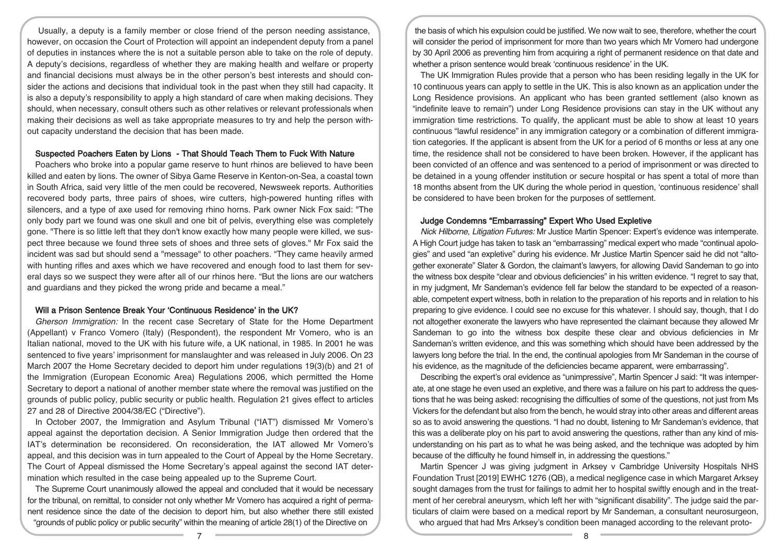Usually, a deputy is a family member or close friend of the person needing assistance, however, on occasion the Court of Protection will appoint an independent deputy from a panel of deputies in instances where the is not a suitable person able to take on the role of deputy. A deputy's decisions, regardless of whether they are making health and welfare or property and financial decisions must always be in the other person's best interests and should consider the actions and decisions that individual took in the past when they still had capacity. It is also a deputy's responsibility to apply a high standard of care when making decisions. They should, when necessary, consult others such as other relatives or relevant professionals when making their decisions as well as take appropriate measures to try and help the person without capacity understand the decision that has been made.

#### Suspected Poachers Eaten by Lions - That Should Teach Them to Fuck With Nature

Poachers who broke into a popular game reserve to hunt rhinos are believed to have been killed and eaten by lions. The owner of Sibya Game Reserve in Kenton-on-Sea, a coastal town in South Africa, said very little of the men could be recovered, Newsweek reports. Authorities recovered body parts, three pairs of shoes, wire cutters, high-powered hunting rifles with silencers, and a type of axe used for removing rhino horns. Park owner Nick Fox said: "The only body part we found was one skull and one bit of pelvis, everything else was completely gone. "There is so little left that they don't know exactly how many people were killed, we suspect three because we found three sets of shoes and three sets of gloves." Mr Fox said the incident was sad but should send a "message" to other poachers. "They came heavily armed with hunting rifles and axes which we have recovered and enough food to last them for several days so we suspect they were after all of our rhinos here. "But the lions are our watchers and guardians and they picked the wrong pride and became a meal."

#### Will a Prison Sentence Break Your 'Continuous Residence' in the UK?

Gherson Immigration: In the recent case Secretary of State for the Home Department (Appellant) v Franco Vomero (Italy) (Respondent), the respondent Mr Vomero, who is an Italian national, moved to the UK with his future wife, a UK national, in 1985. In 2001 he was sentenced to five years' imprisonment for manslaughter and was released in July 2006. On 23 March 2007 the Home Secretary decided to deport him under regulations 19(3)(b) and 21 of the Immigration (European Economic Area) Regulations 2006, which permitted the Home Secretary to deport a national of another member state where the removal was justified on the grounds of public policy, public security or public health. Regulation 21 gives effect to articles 27 and 28 of Directive 2004/38/EC ("Directive").

In October 2007, the Immigration and Asylum Tribunal ("IAT") dismissed Mr Vomero's appeal against the deportation decision. A Senior Immigration Judge then ordered that the IAT's determination be reconsidered. On reconsideration, the IAT allowed Mr Vomero's appeal, and this decision was in turn appealed to the Court of Appeal by the Home Secretary. The Court of Appeal dismissed the Home Secretary's appeal against the second IAT determination which resulted in the case being appealed up to the Supreme Court.

The Supreme Court unanimously allowed the appeal and concluded that it would be necessary for the tribunal, on remittal, to consider not only whether Mr Vomero has acquired a right of permanent residence since the date of the decision to deport him, but also whether there still existed "grounds of public policy or public security" within the meaning of article 28(1) of the Directive on

the basis of which his expulsion could be justified. We now wait to see, therefore, whether the court will consider the period of imprisonment for more than two years which Mr Vomero had undergone by 30 April 2006 as preventing him from acquiring a right of permanent residence on that date and whether a prison sentence would break 'continuous residence' in the UK.

The UK Immigration Rules provide that a person who has been residing legally in the UK for 10 continuous years can apply to settle in the UK. This is also known as an application under the Long Residence provisions. An applicant who has been granted settlement (also known as "indefinite leave to remain") under Long Residence provisions can stay in the UK without any immigration time restrictions. To qualify, the applicant must be able to show at least 10 years continuous "lawful residence" in any immigration category or a combination of different immigration categories. If the applicant is absent from the UK for a period of 6 months or less at any one time, the residence shall not be considered to have been broken. However, if the applicant has been convicted of an offence and was sentenced to a period of imprisonment or was directed to be detained in a young offender institution or secure hospital or has spent a total of more than 18 months absent from the UK during the whole period in question, 'continuous residence' shall be considered to have been broken for the purposes of settlement.

#### Judge Condemns "Embarrassing" Expert Who Used Expletive

Nick Hilborne, Litigation Futures: Mr Justice Martin Spencer: Expert's evidence was intemperate. A High Court judge has taken to task an "embarrassing" medical expert who made "continual apologies" and used "an expletive" during his evidence. Mr Justice Martin Spencer said he did not "altogether exonerate" Slater & Gordon, the claimant's lawyers, for allowing David Sandeman to go into the witness box despite "clear and obvious deficiencies" in his written evidence. "I regret to say that, in my judgment, Mr Sandeman's evidence fell far below the standard to be expected of a reasonable, competent expert witness, both in relation to the preparation of his reports and in relation to his preparing to give evidence. I could see no excuse for this whatever. I should say, though, that I do not altogether exonerate the lawyers who have represented the claimant because they allowed Mr Sandeman to go into the witness box despite these clear and obvious deficiencies in Mr Sandeman's written evidence, and this was something which should have been addressed by the lawyers long before the trial. In the end, the continual apologies from Mr Sandeman in the course of his evidence, as the magnitude of the deficiencies became apparent, were embarrassing".

Describing the expert's oral evidence as "unimpressive", Martin Spencer J said: "It was intemperate, at one stage he even used an expletive, and there was a failure on his part to address the questions that he was being asked: recognising the difficulties of some of the questions, not just from Ms Vickers for the defendant but also from the bench, he would stray into other areas and different areas so as to avoid answering the questions. "I had no doubt, listening to Mr Sandeman's evidence, that this was a deliberate ploy on his part to avoid answering the questions, rather than any kind of misunderstanding on his part as to what he was being asked, and the technique was adopted by him because of the difficulty he found himself in, in addressing the questions."

Martin Spencer J was giving judgment in Arksey v Cambridge University Hospitals NHS Foundation Trust [2019] EWHC 1276 (QB), a medical negligence case in which Margaret Arksey sought damages from the trust for failings to admit her to hospital swiftly enough and in the treatment of her cerebral aneurysm, which left her with "significant disability". The judge said the particulars of claim were based on a medical report by Mr Sandeman, a consultant neurosurgeon, who argued that had Mrs Arksey's condition been managed according to the relevant proto-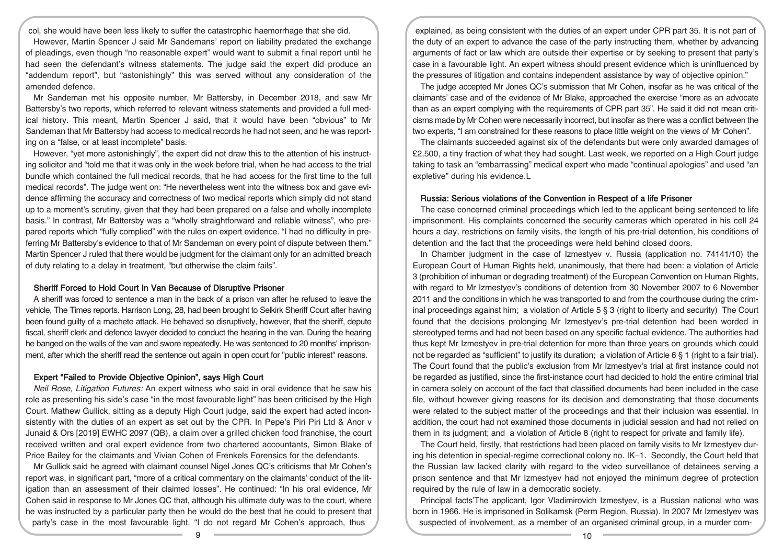col, she would have been less likely to suffer the catastrophic haemorrhage that she did. However, Martin Spencer J said Mr Sandemans' report on liability predated the exchange of pleadings, even though "no reasonable expert" would want to submit a final report until he had seen the defendant's witness statements. The judge said the expert did produce an "addendum report", but "astonishingly" this was served without any consideration of the amended defence.

Mr Sandeman met his opposite number, Mr Battersby, in December 2018, and saw Mr Battersby's two reports, which referred to relevant witness statements and provided a full medical history. This meant, Martin Spencer J said, that it would have been "obvious" to Mr Sandeman that Mr Battersby had access to medical records he had not seen, and he was reporting on a "false, or at least incomplete" basis.

However, "yet more astonishingly", the expert did not draw this to the attention of his instructing solicitor and "told me that it was only in the week before trial, when he had access to the trial bundle which contained the full medical records, that he had access for the first time to the full medical records". The judge went on: "He nevertheless went into the witness box and gave evidence affirming the accuracy and correctness of two medical reports which simply did not stand up to a moment's scrutiny, given that they had been prepared on a false and wholly incomplete basis." In contrast, Mr Battersby was a "wholly straightforward and reliable witness", who prepared reports which "fully complied" with the rules on expert evidence. "I had no difficulty in preferring Mr Battersby's evidence to that of Mr Sandeman on every point of dispute between them." Martin Spencer J ruled that there would be judgment for the claimant only for an admitted breach of duty relating to a delay in treatment, "but otherwise the claim fails".

#### Sheriff Forced to Hold Court In Van Because of Disruptive Prisoner

A sheriff was forced to sentence a man in the back of a prison van after he refused to leave the vehicle, The Times reports. Harrison Long, 28, had been brought to Selkirk Sheriff Court after having been found guilty of a machete attack. He behaved so disruptively, however, that the sheriff, depute fiscal, sheriff clerk and defence lawyer decided to conduct the hearing in the van. During the hearing he banged on the walls of the van and swore repeatedly. He was sentenced to 20 months' imprisonment, after which the sheriff read the sentence out again in open court for "public interest" reasons.

#### Expert "Failed to Provide Objective Opinion", says High Court

Neil Rose, Litigation Futures: An expert witness who said in oral evidence that he saw his role as presenting his side's case "in the most favourable light" has been criticised by the High Court. Mathew Gullick, sitting as a deputy High Court judge, said the expert had acted inconsistently with the duties of an expert as set out by the CPR. In Pepe's Piri Piri Ltd & Anor v Junaid & Ors [2019] EWHC 2097 (QB), a claim over a grilled chicken food franchise, the court received written and oral expert evidence from two chartered accountants, Simon Blake of Price Bailey for the claimants and Vivian Cohen of Frenkels Forensics for the defendants.

Mr Gullick said he agreed with claimant counsel Nigel Jones QC's criticisms that Mr Cohen's report was, in significant part, "more of a critical commentary on the claimants' conduct of the litigation than an assessment of their claimed losses". He continued: "In his oral evidence, Mr Cohen said in response to Mr Jones QC that, although his ultimate duty was to the court, where he was instructed by a particular party then he would do the best that he could to present that party's case in the most favourable light. "I do not regard Mr Cohen's approach, thus

explained, as being consistent with the duties of an expert under CPR part 35. It is not part of the duty of an expert to advance the case of the party instructing them, whether by advancing arguments of fact or law which are outside their expertise or by seeking to present that party's case in a favourable light. An expert witness should present evidence which is uninfluenced by the pressures of litigation and contains independent assistance by way of objective opinion."

The judge accepted Mr Jones QC's submission that Mr Cohen, insofar as he was critical of the claimants' case and of the evidence of Mr Blake, approached the exercise "more as an advocate than as an expert complying with the requirements of CPR part 35". He said it did not mean criticisms made by Mr Cohen were necessarily incorrect, but insofar as there was a conflict between the two experts, "I am constrained for these reasons to place little weight on the views of Mr Cohen".

The claimants succeeded against six of the defendants but were only awarded damages of £2,500, a tiny fraction of what they had sought. Last week, we reported on a High Court judge taking to task an "embarrassing" medical expert who made "continual apologies" and used "an expletive" during his evidence.L

## Russia: Serious violations of the Convention in Respect of a life Prisoner

The case concerned criminal proceedings which led to the applicant being sentenced to life imprisonment. His complaints concerned the security cameras which operated in his cell 24 hours a day, restrictions on family visits, the length of his pre-trial detention, his conditions of detention and the fact that the proceedings were held behind closed doors.

In Chamber judgment in the case of Izmestyev v. Russia (application no. 74141/10) the European Court of Human Rights held, unanimously, that there had been: a violation of Article 3 (prohibition of inhuman or degrading treatment) of the European Convention on Human Rights, with regard to Mr Izmestyev's conditions of detention from 30 November 2007 to 6 November 2011 and the conditions in which he was transported to and from the courthouse during the criminal proceedings against him; a violation of Article 5 § 3 (right to liberty and security) The Court found that the decisions prolonging Mr Izmestyev's pre-trial detention had been worded in stereotyped terms and had not been based on any specific factual evidence. The authorities had thus kept Mr Izmestyev in pre-trial detention for more than three years on grounds which could not be regarded as "sufficient" to justify its duration; a violation of Article 6 § 1 (right to a fair trial). The Court found that the public's exclusion from Mr Izmestyev's trial at first instance could not be regarded as justified, since the first-instance court had decided to hold the entire criminal trial in camera solely on account of the fact that classified documents had been included in the case file, without however giving reasons for its decision and demonstrating that those documents were related to the subject matter of the proceedings and that their inclusion was essential. In addition, the court had not examined those documents in judicial session and had not relied on them in its judgment; and a violation of Article 8 (right to respect for private and family life).

The Court held, firstly, that restrictions had been placed on family visits to Mr Izmestyev during his detention in special-regime correctional colony no. IK–1. Secondly, the Court held that the Russian law lacked clarity with regard to the video surveillance of detainees serving a prison sentence and that Mr Izmestyev had not enjoyed the minimum degree of protection required by the rule of law in a democratic society.

Principal facts'The applicant, Igor Vladimirovich Izmestyev, is a Russian national who was born in 1966. He is imprisoned in Solikamsk (Perm Region, Russia). In 2007 Mr Izmestyev was suspected of involvement, as a member of an organised criminal group, in a murder com-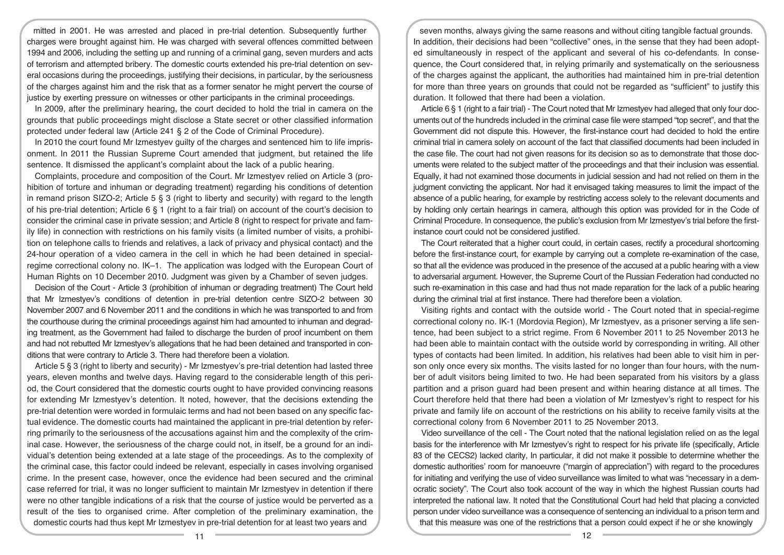mitted in 2001. He was arrested and placed in pre-trial detention. Subsequently further charges were brought against him. He was charged with several offences committed between 1994 and 2006, including the setting up and running of a criminal gang, seven murders and acts of terrorism and attempted bribery. The domestic courts extended his pre-trial detention on several occasions during the proceedings, justifying their decisions, in particular, by the seriousness of the charges against him and the risk that as a former senator he might pervert the course of justice by exerting pressure on witnesses or other participants in the criminal proceedings.

In 2009, after the preliminary hearing, the court decided to hold the trial in camera on the grounds that public proceedings might disclose a State secret or other classified information protected under federal law (Article 241 § 2 of the Code of Criminal Procedure).

In 2010 the court found Mr Izmestyev guilty of the charges and sentenced him to life imprisonment. In 2011 the Russian Supreme Court amended that judgment, but retained the life sentence. It dismissed the applicant's complaint about the lack of a public hearing.

Complaints, procedure and composition of the Court. Mr Izmestyev relied on Article 3 (prohibition of torture and inhuman or degrading treatment) regarding his conditions of detention in remand prison SIZO-2; Article 5 § 3 (right to liberty and security) with regard to the length of his pre-trial detention; Article 6 § 1 (right to a fair trial) on account of the court's decision to consider the criminal case in private session; and Article 8 (right to respect for private and family life) in connection with restrictions on his family visits (a limited number of visits, a prohibition on telephone calls to friends and relatives, a lack of privacy and physical contact) and the 24-hour operation of a video camera in the cell in which he had been detained in specialregime correctional colony no. IK–1. The application was lodged with the European Court of Human Rights on 10 December 2010. Judgment was given by a Chamber of seven judges.

Decision of the Court - Article 3 (prohibition of inhuman or degrading treatment) The Court held that Mr Izmestyev's conditions of detention in pre-trial detention centre SIZO-2 between 30 November 2007 and 6 November 2011 and the conditions in which he was transported to and from the courthouse during the criminal proceedings against him had amounted to inhuman and degrading treatment, as the Government had failed to discharge the burden of proof incumbent on them and had not rebutted Mr Izmestyev's allegations that he had been detained and transported in conditions that were contrary to Article 3. There had therefore been a violation.

Article 5 § 3 (right to liberty and security) - Mr Izmestyev's pre-trial detention had lasted three years, eleven months and twelve days. Having regard to the considerable length of this period, the Court considered that the domestic courts ought to have provided convincing reasons for extending Mr Izmestyev's detention. It noted, however, that the decisions extending the pre-trial detention were worded in formulaic terms and had not been based on any specific factual evidence. The domestic courts had maintained the applicant in pre-trial detention by referring primarily to the seriousness of the accusations against him and the complexity of the criminal case. However, the seriousness of the charge could not, in itself, be a ground for an individual's detention being extended at a late stage of the proceedings. As to the complexity of the criminal case, this factor could indeed be relevant, especially in cases involving organised crime. In the present case, however, once the evidence had been secured and the criminal case referred for trial, it was no longer sufficient to maintain Mr Izmestyev in detention if there were no other tangible indications of a risk that the course of justice would be perverted as a result of the ties to organised crime. After completion of the preliminary examination, the domestic courts had thus kept Mr Izmestyev in pre-trial detention for at least two years and

seven months, always giving the same reasons and without citing tangible factual grounds. In addition, their decisions had been "collective" ones, in the sense that they had been adopted simultaneously in respect of the applicant and several of his co-defendants. In consequence, the Court considered that, in relying primarily and systematically on the seriousness of the charges against the applicant, the authorities had maintained him in pre-trial detention for more than three years on grounds that could not be regarded as "sufficient" to justify this duration. It followed that there had been a violation.

Article 6 § 1 (right to a fair trial) - The Court noted that Mr Izmestyev had alleged that only four documents out of the hundreds included in the criminal case file were stamped "top secret", and that the Government did not dispute this. However, the first-instance court had decided to hold the entire criminal trial in camera solely on account of the fact that classified documents had been included in the case file. The court had not given reasons for its decision so as to demonstrate that those documents were related to the subject matter of the proceedings and that their inclusion was essential. Equally, it had not examined those documents in judicial session and had not relied on them in the judgment convicting the applicant. Nor had it envisaged taking measures to limit the impact of the absence of a public hearing, for example by restricting access solely to the relevant documents and by holding only certain hearings in camera, although this option was provided for in the Code of Criminal Procedure. In consequence, the public's exclusion from Mr Izmestyev's trial before the firstinstance court could not be considered justified.

The Court reiterated that a higher court could, in certain cases, rectify a procedural shortcoming before the first-instance court, for example by carrying out a complete re-examination of the case, so that all the evidence was produced in the presence of the accused at a public hearing with a view to adversarial argument. However, the Supreme Court of the Russian Federation had conducted no such re-examination in this case and had thus not made reparation for the lack of a public hearing during the criminal trial at first instance. There had therefore been a violation.

Visiting rights and contact with the outside world - The Court noted that in special-regime correctional colony no. IK-1 (Mordovia Region), Mr Izmestyev, as a prisoner serving a life sentence, had been subject to a strict regime. From 6 November 2011 to 25 November 2013 he had been able to maintain contact with the outside world by corresponding in writing. All other types of contacts had been limited. In addition, his relatives had been able to visit him in person only once every six months. The visits lasted for no longer than four hours, with the number of adult visitors being limited to two. He had been separated from his visitors by a glass partition and a prison guard had been present and within hearing distance at all times. The Court therefore held that there had been a violation of Mr Izmestyev's right to respect for his private and family life on account of the restrictions on his ability to receive family visits at the correctional colony from 6 November 2011 to 25 November 2013.

Video surveillance of the cell - The Court noted that the national legislation relied on as the legal basis for the interference with Mr Izmestyev's right to respect for his private life (specifically, Article 83 of the CECS2) lacked clarity, In particular, it did not make it possible to determine whether the domestic authorities' room for manoeuvre ("margin of appreciation") with regard to the procedures for initiating and verifying the use of video surveillance was limited to what was "necessary in a democratic society". The Court also took account of the way in which the highest Russian courts had interpreted the national law. It noted that the Constitutional Court had held that placing a convicted person under video surveillance was a consequence of sentencing an individual to a prison term and that this measure was one of the restrictions that a person could expect if he or she knowingly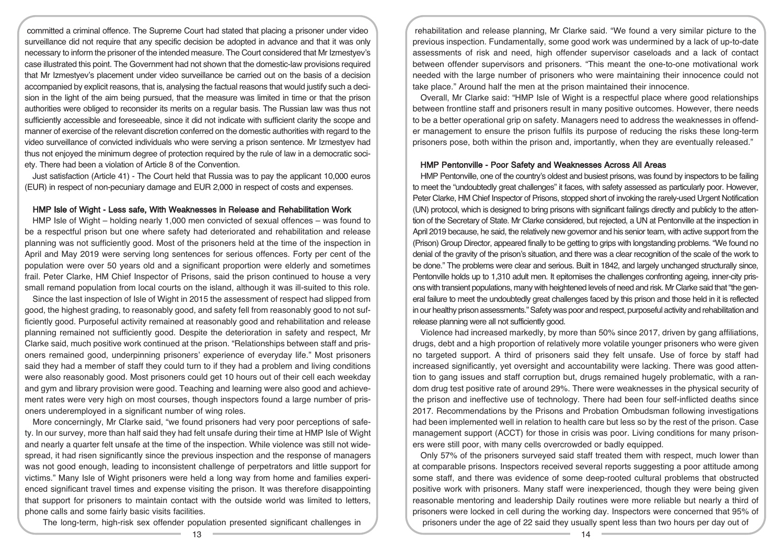committed a criminal offence. The Supreme Court had stated that placing a prisoner under video surveillance did not require that any specific decision be adopted in advance and that it was only necessary to inform the prisoner of the intended measure. The Court considered that Mr Izmestyev's case illustrated this point. The Government had not shown that the domestic-law provisions required that Mr Izmestyev's placement under video surveillance be carried out on the basis of a decision accompanied by explicit reasons, that is, analysing the factual reasons that would justify such a decision in the light of the aim being pursued, that the measure was limited in time or that the prison authorities were obliged to reconsider its merits on a regular basis. The Russian law was thus not sufficiently accessible and foreseeable, since it did not indicate with sufficient clarity the scope and manner of exercise of the relevant discretion conferred on the domestic authorities with regard to the video surveillance of convicted individuals who were serving a prison sentence. Mr Izmestyev had thus not enjoyed the minimum degree of protection required by the rule of law in a democratic society. There had been a violation of Article 8 of the Convention.

Just satisfaction (Article 41) - The Court held that Russia was to pay the applicant 10,000 euros (EUR) in respect of non-pecuniary damage and EUR 2,000 in respect of costs and expenses.

## HMP Isle of Wight - Less safe, With Weaknesses in Release and Rehabilitation Work

HMP Isle of Wight – holding nearly 1,000 men convicted of sexual offences – was found to be a respectful prison but one where safety had deteriorated and rehabilitation and release planning was not sufficiently good. Most of the prisoners held at the time of the inspection in April and May 2019 were serving long sentences for serious offences. Forty per cent of the population were over 50 years old and a significant proportion were elderly and sometimes frail. Peter Clarke, HM Chief Inspector of Prisons, said the prison continued to house a very small remand population from local courts on the island, although it was ill-suited to this role.

Since the last inspection of Isle of Wight in 2015 the assessment of respect had slipped from good, the highest grading, to reasonably good, and safety fell from reasonably good to not sufficiently good. Purposeful activity remained at reasonably good and rehabilitation and release planning remained not sufficiently good. Despite the deterioration in safety and respect, Mr Clarke said, much positive work continued at the prison. "Relationships between staff and prisoners remained good, underpinning prisoners' experience of everyday life." Most prisoners said they had a member of staff they could turn to if they had a problem and living conditions were also reasonably good. Most prisoners could get 10 hours out of their cell each weekday and gym and library provision were good. Teaching and learning were also good and achievement rates were very high on most courses, though inspectors found a large number of prisoners underemployed in a significant number of wing roles.

More concerningly, Mr Clarke said, "we found prisoners had very poor perceptions of safety. In our survey, more than half said they had felt unsafe during their time at HMP Isle of Wight and nearly a quarter felt unsafe at the time of the inspection. While violence was still not widespread, it had risen significantly since the previous inspection and the response of managers was not good enough, leading to inconsistent challenge of perpetrators and little support for victims." Many Isle of Wight prisoners were held a long way from home and families experienced significant travel times and expense visiting the prison. It was therefore disappointing that support for prisoners to maintain contact with the outside world was limited to letters, phone calls and some fairly basic visits facilities.

The long-term, high-risk sex offender population presented significant challenges in

rehabilitation and release planning, Mr Clarke said. "We found a very similar picture to the previous inspection. Fundamentally, some good work was undermined by a lack of up-to-date assessments of risk and need, high offender supervisor caseloads and a lack of contact between offender supervisors and prisoners. "This meant the one-to-one motivational work needed with the large number of prisoners who were maintaining their innocence could not take place." Around half the men at the prison maintained their innocence.

Overall, Mr Clarke said: "HMP Isle of Wight is a respectful place where good relationships between frontline staff and prisoners result in many positive outcomes. However, there needs to be a better operational grip on safety. Managers need to address the weaknesses in offender management to ensure the prison fulfils its purpose of reducing the risks these long-term prisoners pose, both within the prison and, importantly, when they are eventually released."

## HMP Pentonville - Poor Safety and Weaknesses Across All Areas

HMP Pentonville, one of the country's oldest and busiest prisons, was found by inspectors to be failing to meet the "undoubtedly great challenges" it faces, with safety assessed as particularly poor. However, Peter Clarke, HM Chief Inspector of Prisons, stopped short of invoking the rarely-used Urgent Notification (UN) protocol, which is designed to bring prisons with significant failings directly and publicly to the attention of the Secretary of State. Mr Clarke considered, but rejected, a UN at Pentonville at the inspection in April 2019 because, he said, the relatively new governor and his senior team, with active support from the (Prison) Group Director, appeared finally to be getting to grips with longstanding problems. "We found no denial of the gravity of the prison's situation, and there was a clear recognition of the scale of the work to be done." The problems were clear and serious. Built in 1842, and largely unchanged structurally since, Pentonville holds up to 1,310 adult men. It epitomises the challenges confronting ageing, inner-city prisons with transient populations, many with heightened levels of need and risk. Mr Clarke said that"the general failure to meet the undoubtedly great challenges faced by this prison and those held in it is reflected in our healthy prison assessments."Safetywas poor and respect, purposeful activity and rehabilitation and release planning were all not sufficiently good.

Violence had increased markedly, by more than 50% since 2017, driven by gang affiliations, drugs, debt and a high proportion of relatively more volatile younger prisoners who were given no targeted support. A third of prisoners said they felt unsafe. Use of force by staff had increased significantly, yet oversight and accountability were lacking. There was good attention to gang issues and staff corruption but, drugs remained hugely problematic, with a random drug test positive rate of around 29%. There were weaknesses in the physical security of the prison and ineffective use of technology. There had been four self-inflicted deaths since 2017. Recommendations by the Prisons and Probation Ombudsman following investigations had been implemented well in relation to health care but less so by the rest of the prison. Case management support (ACCT) for those in crisis was poor. Living conditions for many prisoners were still poor, with many cells overcrowded or badly equipped.

Only 57% of the prisoners surveyed said staff treated them with respect, much lower than at comparable prisons. Inspectors received several reports suggesting a poor attitude among some staff, and there was evidence of some deep-rooted cultural problems that obstructed positive work with prisoners. Many staff were inexperienced, though they were being given reasonable mentoring and leadership Daily routines were more reliable but nearly a third of prisoners were locked in cell during the working day. Inspectors were concerned that 95% of prisoners under the age of 22 said they usually spent less than two hours per day out of